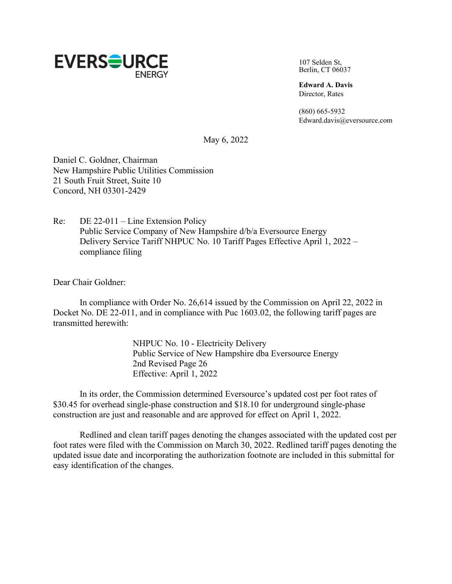

107 Selden St, Berlin, CT 06037

**Edward A. Davis** Director, Rates

(860) 665-5932 [Edward.davis@eversource.com](mailto:Edward.davis@eversource.com)

May 6, 2022

Daniel C. Goldner, Chairman New Hampshire Public Utilities Commission 21 South Fruit Street, Suite 10 Concord, NH 03301-2429

Re: DE 22-011 – Line Extension Policy Public Service Company of New Hampshire d/b/a Eversource Energy Delivery Service Tariff NHPUC No. 10 Tariff Pages Effective April 1, 2022 – compliance filing

Dear Chair Goldner:

In compliance with Order No. 26,614 issued by the Commission on April 22, 2022 in Docket No. DE 22-011, and in compliance with Puc 1603.02, the following tariff pages are transmitted herewith:

> NHPUC No. 10 - Electricity Delivery Public Service of New Hampshire dba Eversource Energy 2nd Revised Page 26 Effective: April 1, 2022

In its order, the Commission determined Eversource's updated cost per foot rates of \$30.45 for overhead single-phase construction and \$18.10 for underground single-phase construction are just and reasonable and are approved for effect on April 1, 2022.

Redlined and clean tariff pages denoting the changes associated with the updated cost per foot rates were filed with the Commission on March 30, 2022. Redlined tariff pages denoting the updated issue date and incorporating the authorization footnote are included in this submittal for easy identification of the changes.